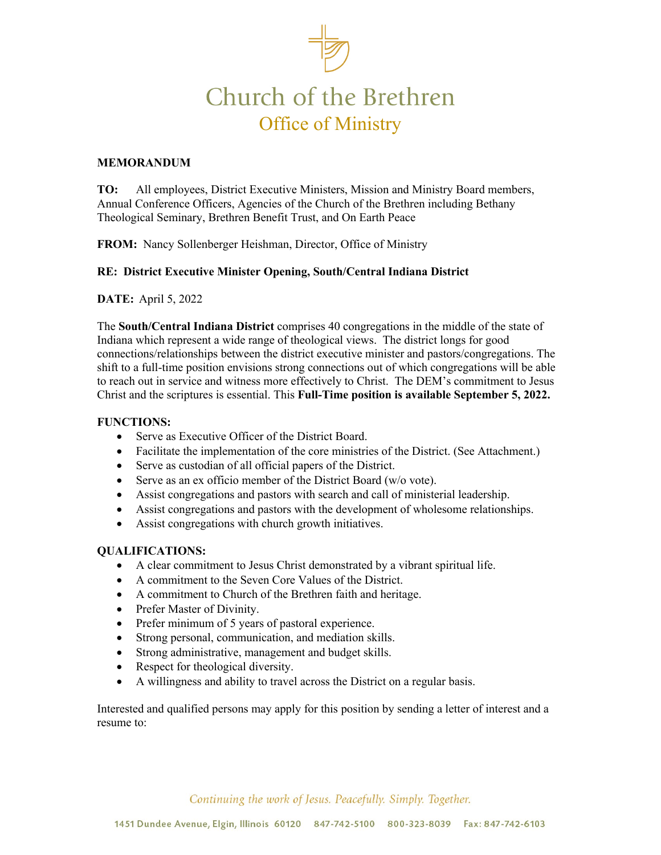# Church of the Brethren Office of Ministry

### **MEMORANDUM**

**TO:** All employees, District Executive Ministers, Mission and Ministry Board members, Annual Conference Officers, Agencies of the Church of the Brethren including Bethany Theological Seminary, Brethren Benefit Trust, and On Earth Peace

**FROM:** Nancy Sollenberger Heishman, Director, Office of Ministry

#### **RE: District Executive Minister Opening, South/Central Indiana District**

**DATE:** April 5, 2022

The **South/Central Indiana District** comprises 40 congregations in the middle of the state of Indiana which represent a wide range of theological views. The district longs for good connections/relationships between the district executive minister and pastors/congregations. The shift to a full-time position envisions strong connections out of which congregations will be able to reach out in service and witness more effectively to Christ. The DEM's commitment to Jesus Christ and the scriptures is essential. This **Full-Time position is available September 5, 2022.**

#### **FUNCTIONS:**

- Serve as Executive Officer of the District Board.
- Facilitate the implementation of the core ministries of the District. (See Attachment.)
- Serve as custodian of all official papers of the District.
- Serve as an ex officio member of the District Board (w/o vote).
- Assist congregations and pastors with search and call of ministerial leadership.
- Assist congregations and pastors with the development of wholesome relationships.
- Assist congregations with church growth initiatives.

#### **QUALIFICATIONS:**

- A clear commitment to Jesus Christ demonstrated by a vibrant spiritual life.
- A commitment to the Seven Core Values of the District.
- A commitment to Church of the Brethren faith and heritage.
- Prefer Master of Divinity.
- Prefer minimum of 5 years of pastoral experience.
- Strong personal, communication, and mediation skills.
- Strong administrative, management and budget skills.
- Respect for theological diversity.
- A willingness and ability to travel across the District on a regular basis.

Interested and qualified persons may apply for this position by sending a letter of interest and a resume to:

Continuing the work of Jesus. Peacefully. Simply. Together.